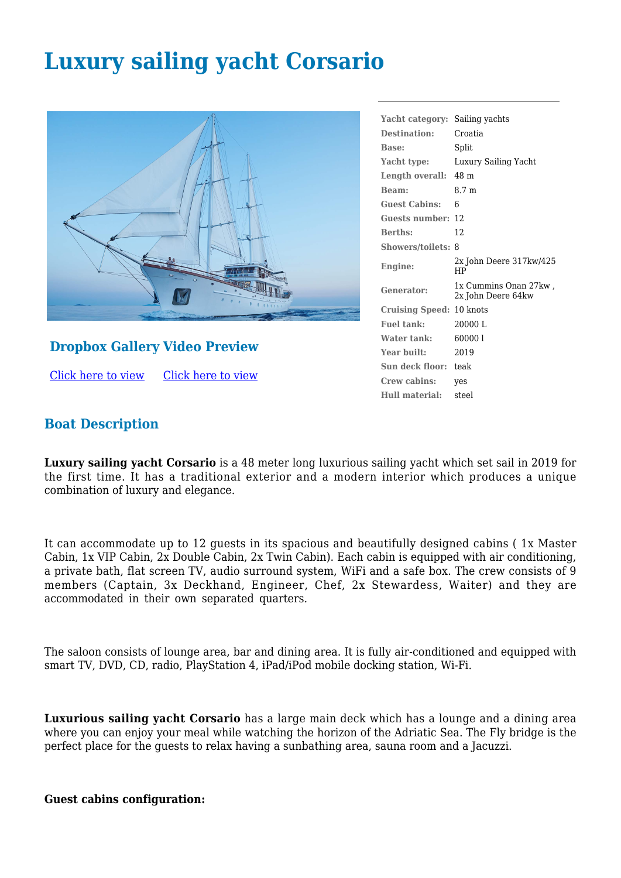# **Luxury sailing yacht Corsario**



## **Dropbox Gallery Video Preview**

[Click here to view](https://www.dropbox.com/sh/ctf993jke99bl3s/AACehh6J-Hbz-ceBpEWnnhJna?dl=0) [Click here to view](https://youtu.be/pGQjvEV6QLU) **Yacht category:** Sailing yachts **Destination:** Croatia **Base:** Split **Yacht type:** Luxury Sailing Yacht **Length overall:** 48 m **Beam:** 8.7 m **Guest Cabins:** 6 **Guests number:** 12 **Berths:** 12 **Showers/toilets:** 8 **Engine:** 2x John Deere 317kw/425 HP **Generator:** 1x Cummins Onan 27kw , 2x John Deere 64kw **Cruising Speed:** 10 knots **Fuel tank:** 20000 L **Water tank:** 60000 l **Year built:** 2019 **Sun deck floor:** teak **Crew cabins:** yes **Hull material:** steel

## **Boat Description**

**Luxury sailing yacht Corsario** is a 48 meter long luxurious sailing yacht which set sail in 2019 for the first time. It has a traditional exterior and a modern interior which produces a unique combination of luxury and elegance.

It can accommodate up to 12 guests in its spacious and beautifully designed cabins ( 1x Master Cabin, 1x VIP Cabin, 2x Double Cabin, 2x Twin Cabin). Each cabin is equipped with air conditioning, a private bath, flat screen TV, audio surround system, WiFi and a safe box. The crew consists of 9 members (Captain, 3x Deckhand, Engineer, Chef, 2x Stewardess, Waiter) and they are accommodated in their own separated quarters.

The saloon consists of lounge area, bar and dining area. It is fully air-conditioned and equipped with smart TV, DVD, CD, radio, PlayStation 4, iPad/iPod mobile docking station, Wi-Fi.

**Luxurious sailing yacht Corsario** has a large main deck which has a lounge and a dining area where you can enjoy your meal while watching the horizon of the Adriatic Sea. The Fly bridge is the perfect place for the guests to relax having a sunbathing area, sauna room and a Jacuzzi.

#### **Guest cabins configuration:**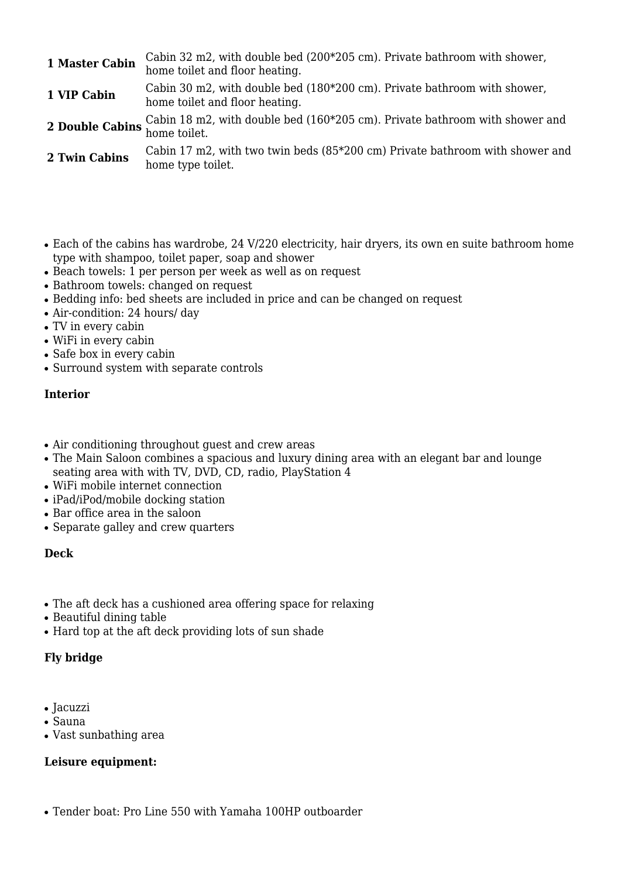| 1 Master Cabin | Cabin 32 m2, with double bed (200*205 cm). Private bathroom with shower,<br>home toilet and floor heating.                               |
|----------------|------------------------------------------------------------------------------------------------------------------------------------------|
| 1 VIP Cabin    | Cabin 30 m2, with double bed (180*200 cm). Private bathroom with shower,<br>home toilet and floor heating.                               |
|                | 2 Double Cabins $\frac{\text{Cabin}}{\text{home} \text{}18 \text{ m2}}$ , with double bed (160*205 cm). Private bathroom with shower and |
| 2 Twin Cabins  | Cabin 17 m2, with two twin beds (85*200 cm) Private bathroom with shower and<br>home type toilet.                                        |

- Each of the cabins has wardrobe, 24 V/220 electricity, hair dryers, its own en suite bathroom home type with shampoo, toilet paper, soap and shower
- Beach towels: 1 per person per week as well as on request
- Bathroom towels: changed on request
- Bedding info: bed sheets are included in price and can be changed on request
- Air-condition: 24 hours/ day
- TV in every cabin
- WiFi in every cabin
- Safe box in every cabin
- Surround system with separate controls

### **Interior**

- Air conditioning throughout guest and crew areas
- The Main Saloon combines a spacious and luxury dining area with an elegant bar and lounge seating area with with TV, DVD, CD, radio, PlayStation 4
- WiFi mobile internet connection
- iPad/iPod/mobile docking station
- Bar office area in the saloon
- Separate galley and crew quarters

#### **Deck**

- The aft deck has a cushioned area offering space for relaxing
- Beautiful dining table
- Hard top at the aft deck providing lots of sun shade

### **Fly bridge**

- Jacuzzi
- Sauna
- Vast sunbathing area

### **Leisure equipment:**

• Tender boat: Pro Line 550 with Yamaha 100HP outboarder